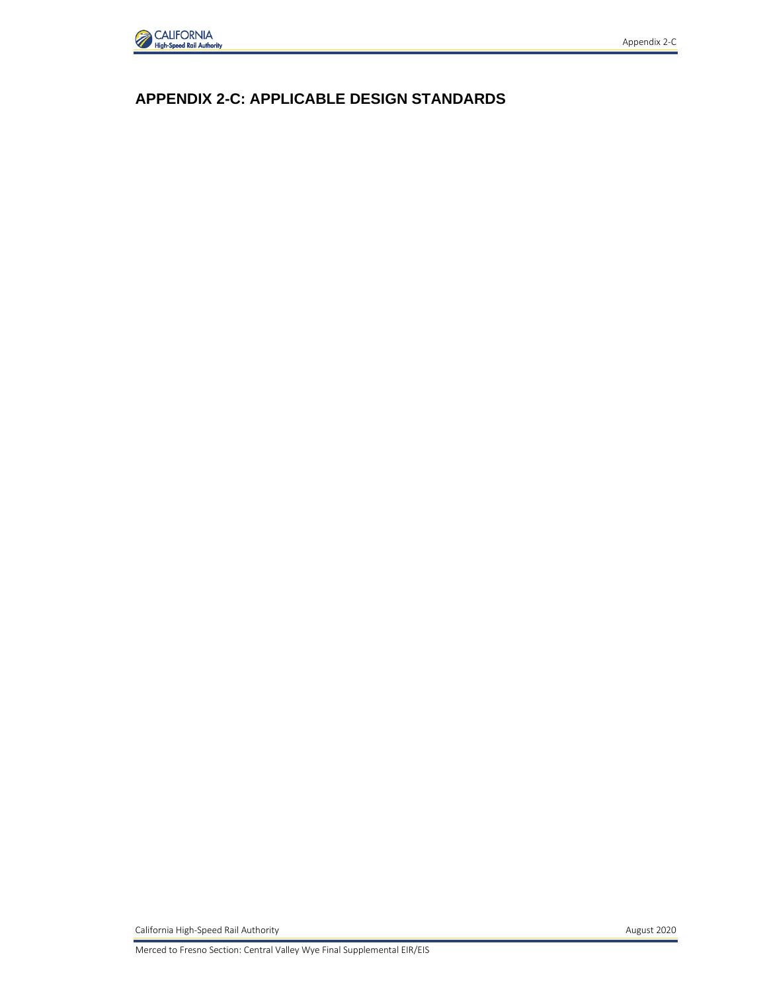

# **APPENDIX 2-C: APPLICABLE DESIGN STANDARDS**

California High-Speed Rail Authority **August 2020**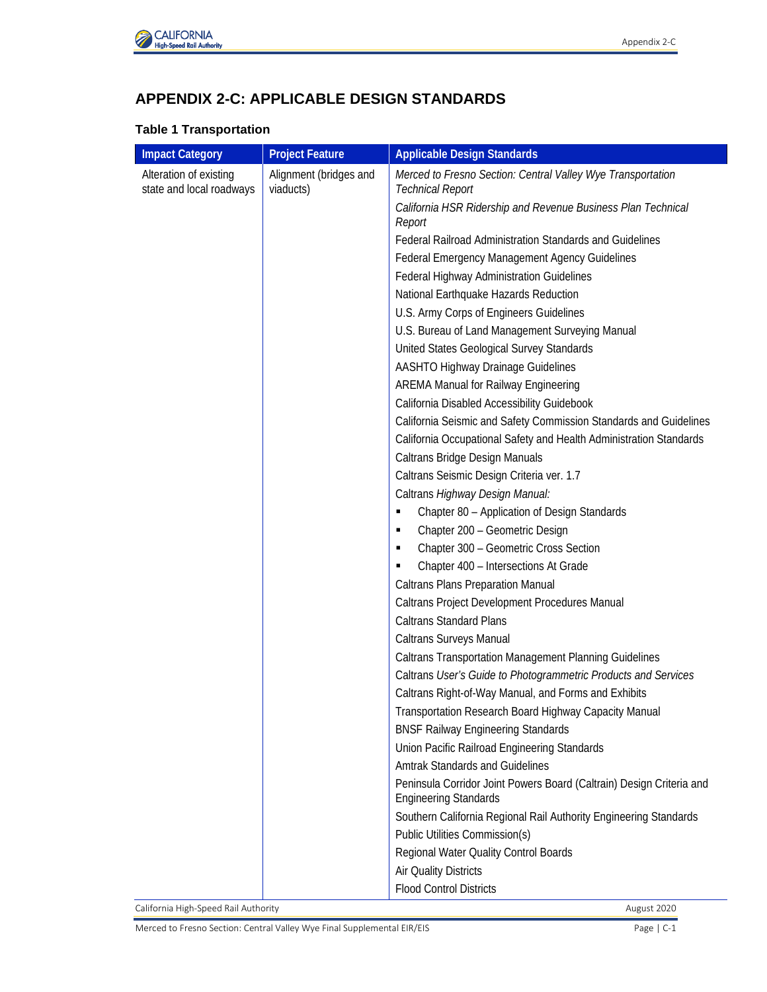

# **APPENDIX 2-C: APPLICABLE DESIGN STANDARDS**

#### **Table 1 Transportation**

| <b>Impact Category</b>                             | <b>Project Feature</b>              | <b>Applicable Design Standards</b>                                                                   |
|----------------------------------------------------|-------------------------------------|------------------------------------------------------------------------------------------------------|
| Alteration of existing<br>state and local roadways | Alignment (bridges and<br>viaducts) | Merced to Fresno Section: Central Valley Wye Transportation<br><b>Technical Report</b>               |
|                                                    |                                     | California HSR Ridership and Revenue Business Plan Technical<br>Report                               |
|                                                    |                                     | Federal Railroad Administration Standards and Guidelines                                             |
|                                                    |                                     | Federal Emergency Management Agency Guidelines                                                       |
|                                                    |                                     | Federal Highway Administration Guidelines                                                            |
|                                                    |                                     | National Earthquake Hazards Reduction                                                                |
|                                                    |                                     | U.S. Army Corps of Engineers Guidelines                                                              |
|                                                    |                                     | U.S. Bureau of Land Management Surveying Manual                                                      |
|                                                    |                                     | United States Geological Survey Standards                                                            |
|                                                    |                                     | AASHTO Highway Drainage Guidelines                                                                   |
|                                                    |                                     | <b>AREMA Manual for Railway Engineering</b>                                                          |
|                                                    |                                     | California Disabled Accessibility Guidebook                                                          |
|                                                    |                                     | California Seismic and Safety Commission Standards and Guidelines                                    |
|                                                    |                                     | California Occupational Safety and Health Administration Standards                                   |
|                                                    |                                     | Caltrans Bridge Design Manuals                                                                       |
|                                                    |                                     | Caltrans Seismic Design Criteria ver. 1.7                                                            |
|                                                    |                                     | Caltrans Highway Design Manual:                                                                      |
|                                                    |                                     | Chapter 80 - Application of Design Standards<br>٠                                                    |
|                                                    |                                     | Chapter 200 - Geometric Design<br>٠                                                                  |
|                                                    |                                     | Chapter 300 - Geometric Cross Section<br>٠                                                           |
|                                                    |                                     | Chapter 400 - Intersections At Grade<br>٠                                                            |
|                                                    |                                     | <b>Caltrans Plans Preparation Manual</b>                                                             |
|                                                    |                                     | Caltrans Project Development Procedures Manual                                                       |
|                                                    |                                     | <b>Caltrans Standard Plans</b>                                                                       |
|                                                    |                                     | Caltrans Surveys Manual                                                                              |
|                                                    |                                     | Caltrans Transportation Management Planning Guidelines                                               |
|                                                    |                                     | Caltrans User's Guide to Photogrammetric Products and Services                                       |
|                                                    |                                     | Caltrans Right-of-Way Manual, and Forms and Exhibits                                                 |
|                                                    |                                     | Transportation Research Board Highway Capacity Manual                                                |
|                                                    |                                     | <b>BNSF Railway Engineering Standards</b>                                                            |
|                                                    |                                     | Union Pacific Railroad Engineering Standards                                                         |
|                                                    |                                     | <b>Amtrak Standards and Guidelines</b>                                                               |
|                                                    |                                     | Peninsula Corridor Joint Powers Board (Caltrain) Design Criteria and<br><b>Engineering Standards</b> |
|                                                    |                                     | Southern California Regional Rail Authority Engineering Standards                                    |
|                                                    |                                     | <b>Public Utilities Commission(s)</b>                                                                |
|                                                    |                                     | Regional Water Quality Control Boards                                                                |
|                                                    |                                     | Air Quality Districts                                                                                |
|                                                    |                                     | <b>Flood Control Districts</b>                                                                       |

California High-Speed Rail Authority **August 2020 August 2020**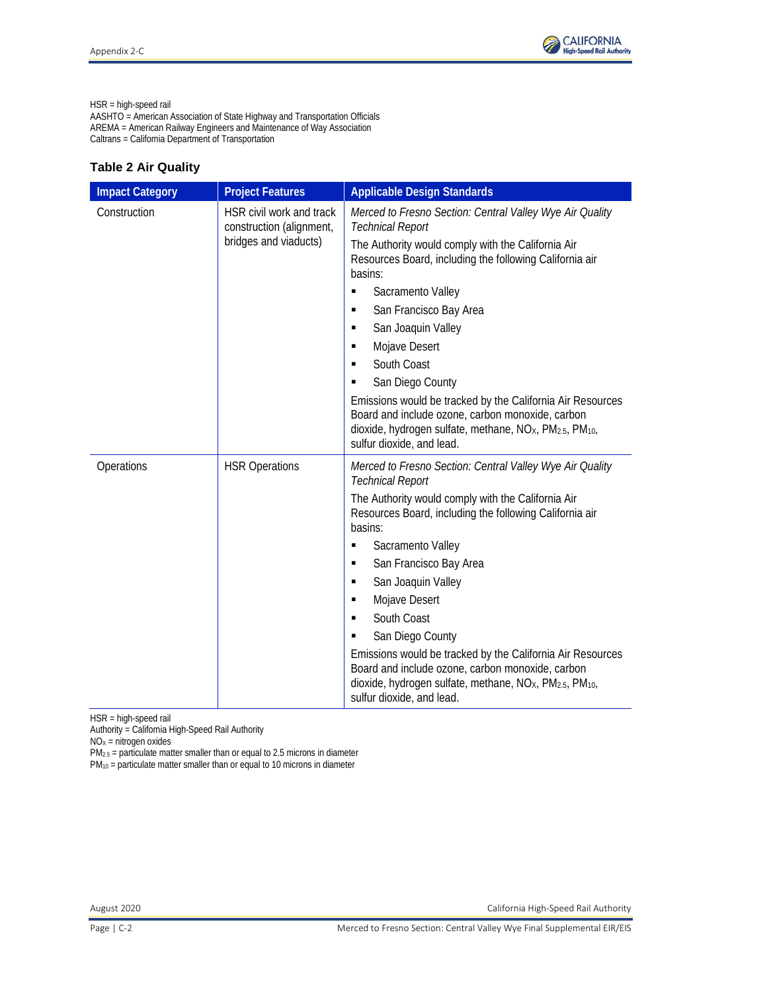HSR = high-speed rail

AASHTO = American Association of State Highway and Transportation Officials AREMA = American Railway Engineers and Maintenance of Way Association Caltrans = California Department of Transportation

### **Table 2 Air Quality**

| <b>Impact Category</b> | <b>Project Features</b>                              | <b>Applicable Design Standards</b>                                                                                                                                                                                                          |
|------------------------|------------------------------------------------------|---------------------------------------------------------------------------------------------------------------------------------------------------------------------------------------------------------------------------------------------|
| Construction           | HSR civil work and track<br>construction (alignment, | Merced to Fresno Section: Central Valley Wye Air Quality<br><b>Technical Report</b>                                                                                                                                                         |
|                        | bridges and viaducts)                                | The Authority would comply with the California Air<br>Resources Board, including the following California air<br>basins:                                                                                                                    |
|                        |                                                      | Sacramento Valley<br>٠                                                                                                                                                                                                                      |
|                        |                                                      | San Francisco Bay Area<br>٠                                                                                                                                                                                                                 |
|                        |                                                      | San Joaquin Valley<br>٠                                                                                                                                                                                                                     |
|                        |                                                      | Mojave Desert<br>٠                                                                                                                                                                                                                          |
|                        |                                                      | South Coast<br>٠                                                                                                                                                                                                                            |
|                        |                                                      | San Diego County<br>٠                                                                                                                                                                                                                       |
|                        |                                                      | Emissions would be tracked by the California Air Resources<br>Board and include ozone, carbon monoxide, carbon<br>dioxide, hydrogen sulfate, methane, NO <sub>x</sub> , PM <sub>2.5</sub> , PM <sub>10</sub> ,<br>sulfur dioxide, and lead. |
| Operations             | <b>HSR Operations</b>                                | Merced to Fresno Section: Central Valley Wye Air Quality<br><b>Technical Report</b>                                                                                                                                                         |
|                        |                                                      | The Authority would comply with the California Air<br>Resources Board, including the following California air<br>basins:                                                                                                                    |
|                        |                                                      | Sacramento Valley<br>٠                                                                                                                                                                                                                      |
|                        |                                                      | San Francisco Bay Area<br>٠                                                                                                                                                                                                                 |
|                        |                                                      | San Joaquin Valley<br>٠                                                                                                                                                                                                                     |
|                        |                                                      | Mojave Desert<br>٠                                                                                                                                                                                                                          |
|                        |                                                      | South Coast<br>٠                                                                                                                                                                                                                            |
|                        |                                                      | San Diego County<br>٠                                                                                                                                                                                                                       |
|                        |                                                      | Emissions would be tracked by the California Air Resources<br>Board and include ozone, carbon monoxide, carbon<br>dioxide, hydrogen sulfate, methane, NO <sub>X</sub> , PM <sub>2.5</sub> , PM <sub>10</sub> ,<br>sulfur dioxide, and lead. |

HSR = high-speed rail

Authority = California High-Speed Rail Authority

 $NOx = nitrogen$  oxides

 $PM_{2.5}$  = particulate matter smaller than or equal to 2.5 microns in diameter

PM10 = particulate matter smaller than or equal to 10 microns in diameter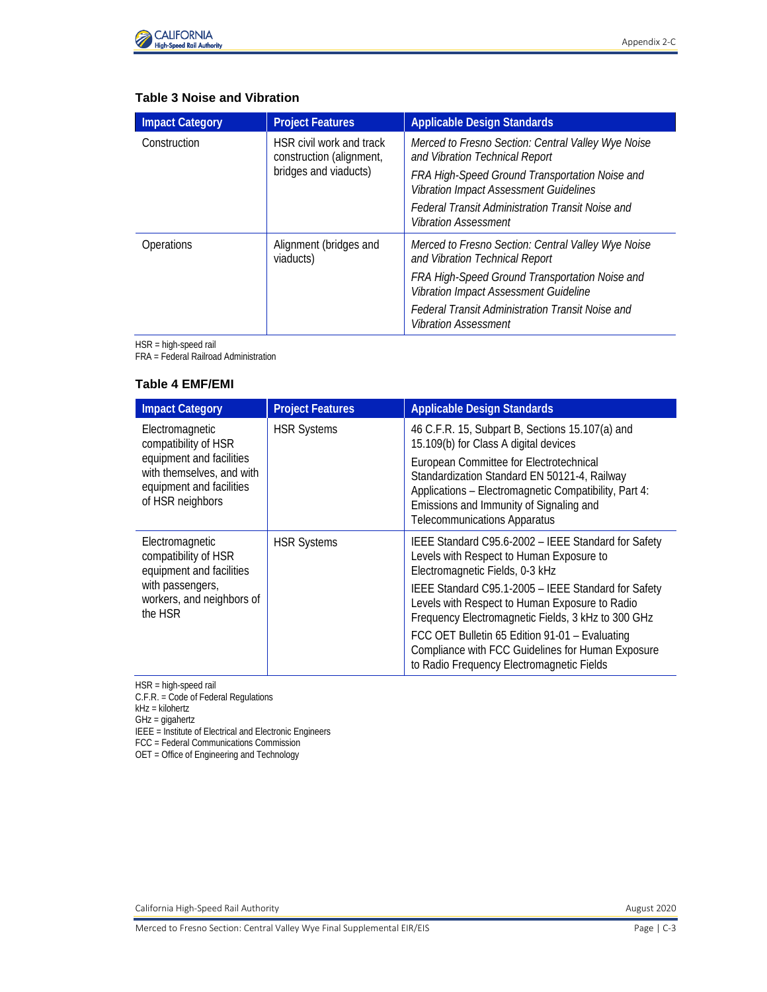

## **Table 3 Noise and Vibration**

| <b>Impact Category</b>                                                                        | <b>Project Features</b>                                                                                                                | <b>Applicable Design Standards</b>                                                      |
|-----------------------------------------------------------------------------------------------|----------------------------------------------------------------------------------------------------------------------------------------|-----------------------------------------------------------------------------------------|
| HSR civil work and track<br>Construction<br>construction (alignment,<br>bridges and viaducts) | Merced to Fresno Section: Central Valley Wye Noise<br>and Vibration Technical Report<br>FRA High-Speed Ground Transportation Noise and |                                                                                         |
|                                                                                               |                                                                                                                                        | <b>Vibration Impact Assessment Guidelines</b>                                           |
|                                                                                               |                                                                                                                                        | Federal Transit Administration Transit Noise and<br><b>Vibration Assessment</b>         |
| Operations                                                                                    | Alignment (bridges and<br>viaducts)                                                                                                    | Merced to Fresno Section: Central Valley Wye Noise<br>and Vibration Technical Report    |
|                                                                                               |                                                                                                                                        | FRA High-Speed Ground Transportation Noise and<br>Vibration Impact Assessment Guideline |
|                                                                                               |                                                                                                                                        | Federal Transit Administration Transit Noise and<br><b>Vibration Assessment</b>         |

HSR = high-speed rail

FRA = Federal Railroad Administration

#### **Table 4 EMF/EMI**

| <b>Impact Category</b>                                                                                | <b>Project Features</b> | <b>Applicable Design Standards</b>                                                                                                                                                                                          |
|-------------------------------------------------------------------------------------------------------|-------------------------|-----------------------------------------------------------------------------------------------------------------------------------------------------------------------------------------------------------------------------|
| Electromagnetic<br>compatibility of HSR                                                               | <b>HSR Systems</b>      | 46 C.F.R. 15, Subpart B, Sections 15.107(a) and<br>15.109(b) for Class A digital devices                                                                                                                                    |
| equipment and facilities<br>with themselves, and with<br>equipment and facilities<br>of HSR neighbors |                         | European Committee for Electrotechnical<br>Standardization Standard EN 50121-4, Railway<br>Applications - Electromagnetic Compatibility, Part 4:<br>Emissions and Immunity of Signaling and<br>Telecommunications Apparatus |
| Electromagnetic<br>compatibility of HSR<br>equipment and facilities                                   | <b>HSR Systems</b>      | IEEE Standard C95.6-2002 - IEEE Standard for Safety<br>Levels with Respect to Human Exposure to<br>Electromagnetic Fields, 0-3 kHz                                                                                          |
| with passengers,<br>workers, and neighbors of<br>the HSR                                              |                         | IEEE Standard C95.1-2005 - IEEE Standard for Safety<br>Levels with Respect to Human Exposure to Radio<br>Frequency Electromagnetic Fields, 3 kHz to 300 GHz                                                                 |
|                                                                                                       |                         | FCC OET Bulletin 65 Edition 91-01 - Evaluating<br>Compliance with FCC Guidelines for Human Exposure<br>to Radio Frequency Electromagnetic Fields                                                                            |

HSR = high-speed rail

C.F.R. = Code of Federal Regulations

kHz = kilohertz

GHz = gigahertz

IEEE = Institute of Electrical and Electronic Engineers

FCC = Federal Communications Commission

OET = Office of Engineering and Technology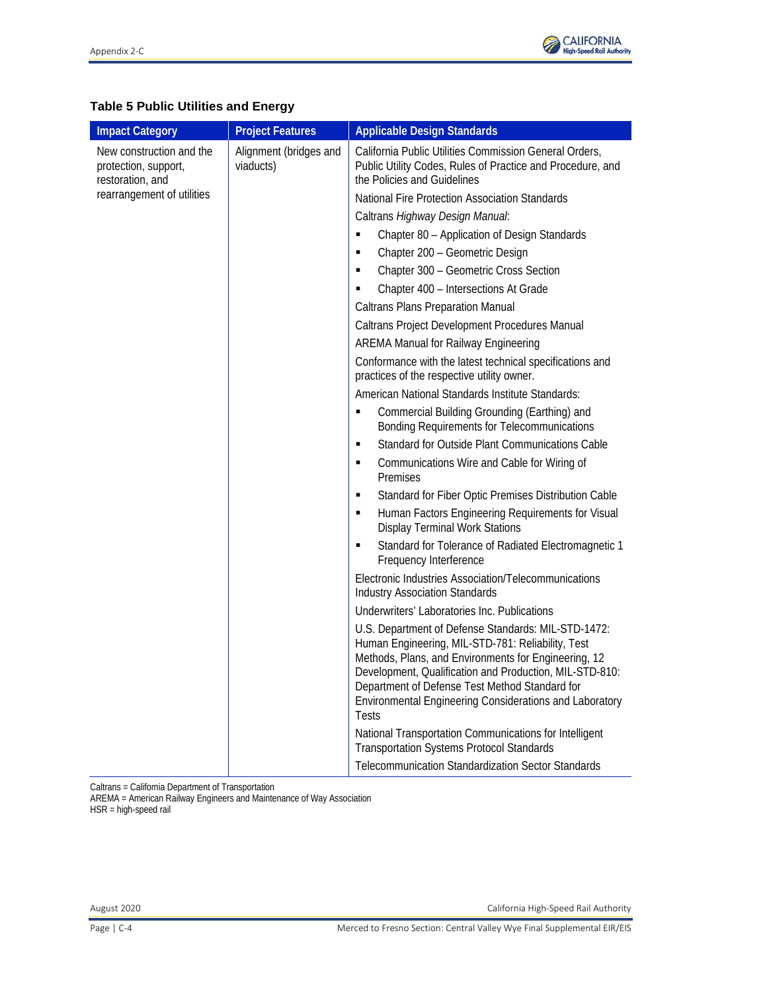

# **Table 5 Public Utilities and Energy**

| <b>Impact Category</b>                                               | <b>Project Features</b>             | <b>Applicable Design Standards</b>                                                                                                                                                                                                                                                                                                                       |
|----------------------------------------------------------------------|-------------------------------------|----------------------------------------------------------------------------------------------------------------------------------------------------------------------------------------------------------------------------------------------------------------------------------------------------------------------------------------------------------|
| New construction and the<br>protection, support,<br>restoration, and | Alignment (bridges and<br>viaducts) | California Public Utilities Commission General Orders,<br>Public Utility Codes, Rules of Practice and Procedure, and<br>the Policies and Guidelines                                                                                                                                                                                                      |
| rearrangement of utilities                                           |                                     | National Fire Protection Association Standards                                                                                                                                                                                                                                                                                                           |
|                                                                      |                                     | Caltrans Highway Design Manual:                                                                                                                                                                                                                                                                                                                          |
|                                                                      |                                     | Chapter 80 - Application of Design Standards<br>×,                                                                                                                                                                                                                                                                                                       |
|                                                                      |                                     | Chapter 200 - Geometric Design<br>Ξ                                                                                                                                                                                                                                                                                                                      |
|                                                                      |                                     | Chapter 300 - Geometric Cross Section<br>Ξ                                                                                                                                                                                                                                                                                                               |
|                                                                      |                                     | Chapter 400 - Intersections At Grade                                                                                                                                                                                                                                                                                                                     |
|                                                                      |                                     | <b>Caltrans Plans Preparation Manual</b>                                                                                                                                                                                                                                                                                                                 |
|                                                                      |                                     | Caltrans Project Development Procedures Manual                                                                                                                                                                                                                                                                                                           |
|                                                                      |                                     | <b>AREMA Manual for Railway Engineering</b>                                                                                                                                                                                                                                                                                                              |
|                                                                      |                                     | Conformance with the latest technical specifications and<br>practices of the respective utility owner.                                                                                                                                                                                                                                                   |
|                                                                      |                                     | American National Standards Institute Standards:                                                                                                                                                                                                                                                                                                         |
|                                                                      |                                     | Commercial Building Grounding (Earthing) and<br>Ξ<br>Bonding Requirements for Telecommunications                                                                                                                                                                                                                                                         |
|                                                                      |                                     | Standard for Outside Plant Communications Cable<br>٠                                                                                                                                                                                                                                                                                                     |
|                                                                      |                                     | Communications Wire and Cable for Wiring of<br>Ξ<br>Premises                                                                                                                                                                                                                                                                                             |
|                                                                      |                                     | Standard for Fiber Optic Premises Distribution Cable<br>Ξ                                                                                                                                                                                                                                                                                                |
|                                                                      |                                     | Human Factors Engineering Requirements for Visual<br>$\blacksquare$<br><b>Display Terminal Work Stations</b>                                                                                                                                                                                                                                             |
|                                                                      |                                     | Standard for Tolerance of Radiated Electromagnetic 1<br>Ξ<br>Frequency Interference                                                                                                                                                                                                                                                                      |
|                                                                      |                                     | Electronic Industries Association/Telecommunications<br><b>Industry Association Standards</b>                                                                                                                                                                                                                                                            |
|                                                                      |                                     | Underwriters' Laboratories Inc. Publications                                                                                                                                                                                                                                                                                                             |
|                                                                      |                                     | U.S. Department of Defense Standards: MIL-STD-1472:<br>Human Engineering, MIL-STD-781: Reliability, Test<br>Methods, Plans, and Environments for Engineering, 12<br>Development, Qualification and Production, MIL-STD-810:<br>Department of Defense Test Method Standard for<br>Environmental Engineering Considerations and Laboratory<br><b>Tests</b> |
|                                                                      |                                     | National Transportation Communications for Intelligent<br><b>Transportation Systems Protocol Standards</b>                                                                                                                                                                                                                                               |
|                                                                      |                                     | <b>Telecommunication Standardization Sector Standards</b>                                                                                                                                                                                                                                                                                                |

Caltrans = California Department of Transportation

AREMA = American Railway Engineers and Maintenance of Way Association HSR = high-speed rail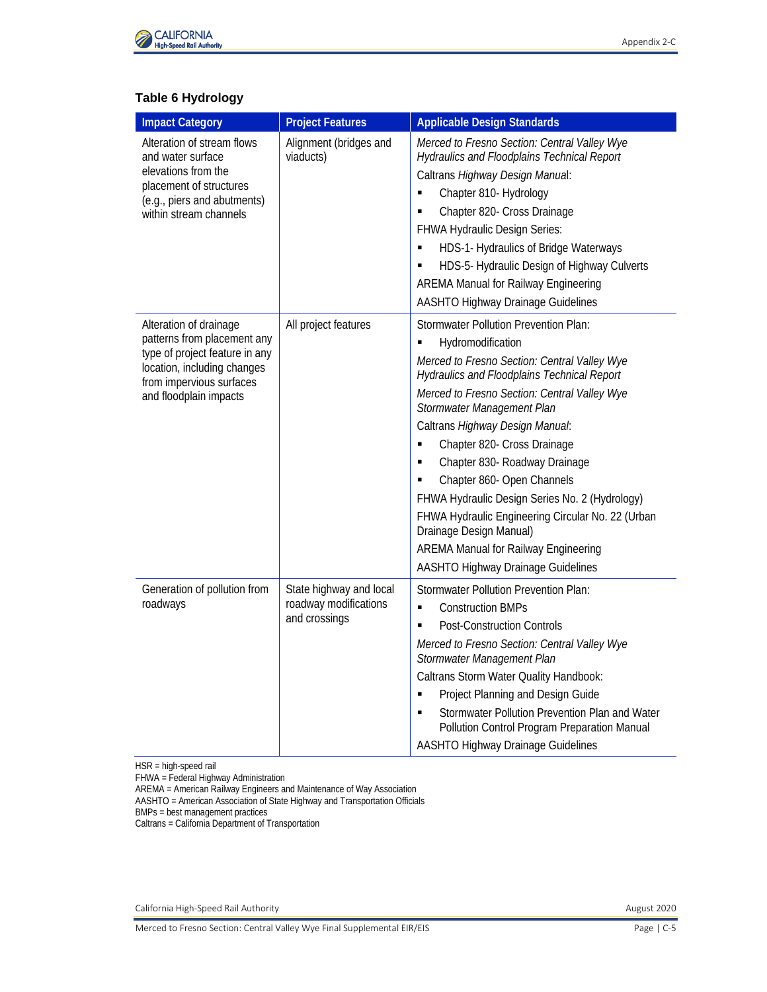

# **Table 6 Hydrology**

| <b>Impact Category</b>                                                                                                                                                       | <b>Project Features</b>                                           | <b>Applicable Design Standards</b>                                                                                                                                                                                                                                                                                                                                                                                                                                                                                                                                                                                 |
|------------------------------------------------------------------------------------------------------------------------------------------------------------------------------|-------------------------------------------------------------------|--------------------------------------------------------------------------------------------------------------------------------------------------------------------------------------------------------------------------------------------------------------------------------------------------------------------------------------------------------------------------------------------------------------------------------------------------------------------------------------------------------------------------------------------------------------------------------------------------------------------|
| Alteration of stream flows<br>and water surface<br>elevations from the<br>placement of structures<br>(e.g., piers and abutments)<br>within stream channels                   | Alignment (bridges and<br>viaducts)                               | Merced to Fresno Section: Central Valley Wye<br>Hydraulics and Floodplains Technical Report<br>Caltrans Highway Design Manual:<br>Chapter 810- Hydrology<br>٠<br>Chapter 820- Cross Drainage<br>Ξ<br>FHWA Hydraulic Design Series:<br>HDS-1- Hydraulics of Bridge Waterways<br>٠<br>HDS-5- Hydraulic Design of Highway Culverts<br><b>AREMA Manual for Railway Engineering</b><br>AASHTO Highway Drainage Guidelines                                                                                                                                                                                               |
| Alteration of drainage<br>patterns from placement any<br>type of project feature in any<br>location, including changes<br>from impervious surfaces<br>and floodplain impacts | All project features                                              | <b>Stormwater Pollution Prevention Plan:</b><br>Hydromodification<br>Merced to Fresno Section: Central Valley Wye<br>Hydraulics and Floodplains Technical Report<br>Merced to Fresno Section: Central Valley Wye<br>Stormwater Management Plan<br>Caltrans Highway Design Manual:<br>Chapter 820- Cross Drainage<br>Ξ<br>Chapter 830- Roadway Drainage<br>Chapter 860- Open Channels<br>FHWA Hydraulic Design Series No. 2 (Hydrology)<br>FHWA Hydraulic Engineering Circular No. 22 (Urban<br>Drainage Design Manual)<br><b>AREMA Manual for Railway Engineering</b><br><b>AASHTO Highway Drainage Guidelines</b> |
| Generation of pollution from<br>roadways                                                                                                                                     | State highway and local<br>roadway modifications<br>and crossings | <b>Stormwater Pollution Prevention Plan:</b><br>$\blacksquare$<br><b>Construction BMPs</b><br><b>Post-Construction Controls</b><br>Е<br>Merced to Fresno Section: Central Valley Wye<br>Stormwater Management Plan<br>Caltrans Storm Water Quality Handbook:<br>Project Planning and Design Guide<br>Ξ<br>Stormwater Pollution Prevention Plan and Water<br>Pollution Control Program Preparation Manual<br>AASHTO Highway Drainage Guidelines                                                                                                                                                                     |

HSR = high-speed rail

FHWA = Federal Highway Administration

AREMA = American Railway Engineers and Maintenance of Way Association

AASHTO = American Association of State Highway and Transportation Officials

BMPs = best management practices

Caltrans = California Department of Transportation

California High-Speed Rail Authority **August 2020 August 2020**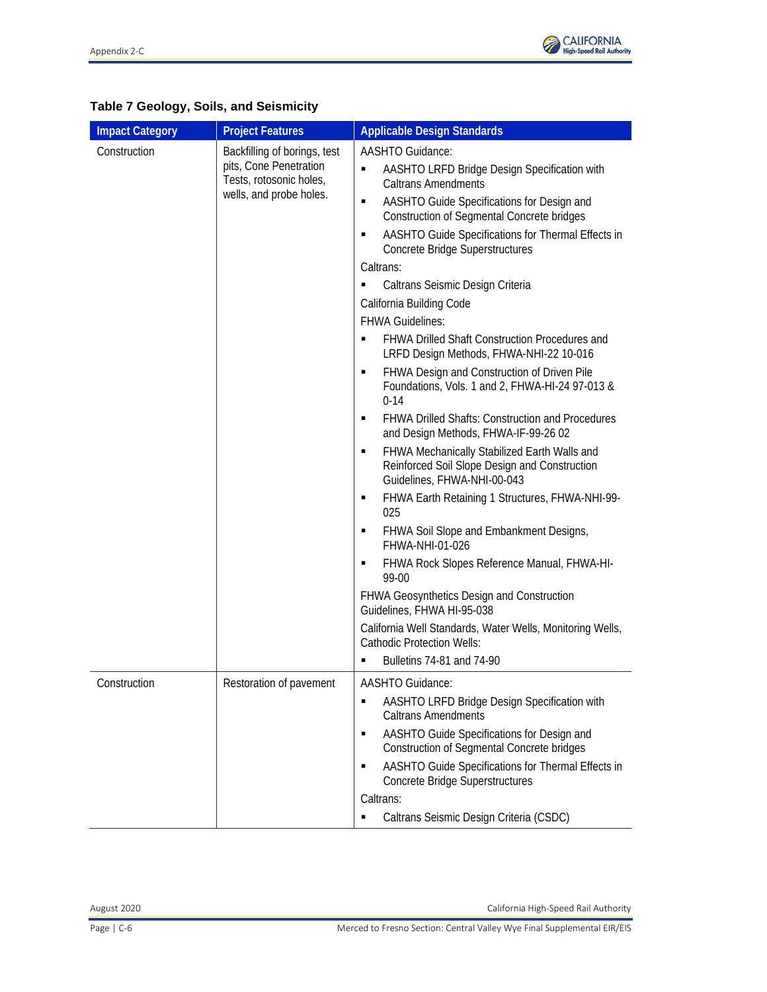

| <b>Impact Category</b> | <b>Project Features</b>                                                                                      | <b>Applicable Design Standards</b>                                                                                                                                                                                                                                                                        |
|------------------------|--------------------------------------------------------------------------------------------------------------|-----------------------------------------------------------------------------------------------------------------------------------------------------------------------------------------------------------------------------------------------------------------------------------------------------------|
| Construction           | Backfilling of borings, test<br>pits, Cone Penetration<br>Tests, rotosonic holes,<br>wells, and probe holes. | AASHTO Guidance:<br>AASHTO LRFD Bridge Design Specification with<br>٠<br><b>Caltrans Amendments</b><br>AASHTO Guide Specifications for Design and<br>٠<br><b>Construction of Segmental Concrete bridges</b><br>AASHTO Guide Specifications for Thermal Effects in<br>٠<br>Concrete Bridge Superstructures |
|                        |                                                                                                              | Caltrans:                                                                                                                                                                                                                                                                                                 |
|                        |                                                                                                              | Caltrans Seismic Design Criteria<br>California Building Code                                                                                                                                                                                                                                              |
|                        |                                                                                                              | <b>FHWA Guidelines:</b>                                                                                                                                                                                                                                                                                   |
|                        |                                                                                                              | <b>FHWA Drilled Shaft Construction Procedures and</b><br>п<br>LRFD Design Methods, FHWA-NHI-22 10-016                                                                                                                                                                                                     |
|                        |                                                                                                              | FHWA Design and Construction of Driven Pile<br>٠<br>Foundations, Vols. 1 and 2, FHWA-HI-24 97-013 &<br>$0 - 14$                                                                                                                                                                                           |
|                        |                                                                                                              | <b>FHWA Drilled Shafts: Construction and Procedures</b><br>٠<br>and Design Methods, FHWA-IF-99-26 02                                                                                                                                                                                                      |
|                        |                                                                                                              | FHWA Mechanically Stabilized Earth Walls and<br>٠<br>Reinforced Soil Slope Design and Construction<br>Guidelines, FHWA-NHI-00-043                                                                                                                                                                         |
|                        |                                                                                                              | FHWA Earth Retaining 1 Structures, FHWA-NHI-99-<br>٠<br>025                                                                                                                                                                                                                                               |
|                        |                                                                                                              | FHWA Soil Slope and Embankment Designs,<br>٠<br>FHWA-NHI-01-026                                                                                                                                                                                                                                           |
|                        |                                                                                                              | FHWA Rock Slopes Reference Manual, FHWA-HI-<br>٠<br>99-00                                                                                                                                                                                                                                                 |
|                        |                                                                                                              | <b>FHWA Geosynthetics Design and Construction</b><br>Guidelines, FHWA HI-95-038                                                                                                                                                                                                                           |
|                        |                                                                                                              | California Well Standards, Water Wells, Monitoring Wells,<br><b>Cathodic Protection Wells:</b>                                                                                                                                                                                                            |
|                        |                                                                                                              | Bulletins 74-81 and 74-90                                                                                                                                                                                                                                                                                 |
| Construction           | Restoration of pavement                                                                                      | AASHTO Guidance:<br>AASHTO LRFD Bridge Design Specification with<br>٠<br><b>Caltrans Amendments</b><br>٠                                                                                                                                                                                                  |
|                        |                                                                                                              | AASHTO Guide Specifications for Design and<br><b>Construction of Segmental Concrete bridges</b>                                                                                                                                                                                                           |
|                        |                                                                                                              | AASHTO Guide Specifications for Thermal Effects in<br>Concrete Bridge Superstructures                                                                                                                                                                                                                     |
|                        |                                                                                                              | Caltrans:<br>Caltrans Seismic Design Criteria (CSDC)<br>٠                                                                                                                                                                                                                                                 |

# **Table 7 Geology, Soils, and Seismicity**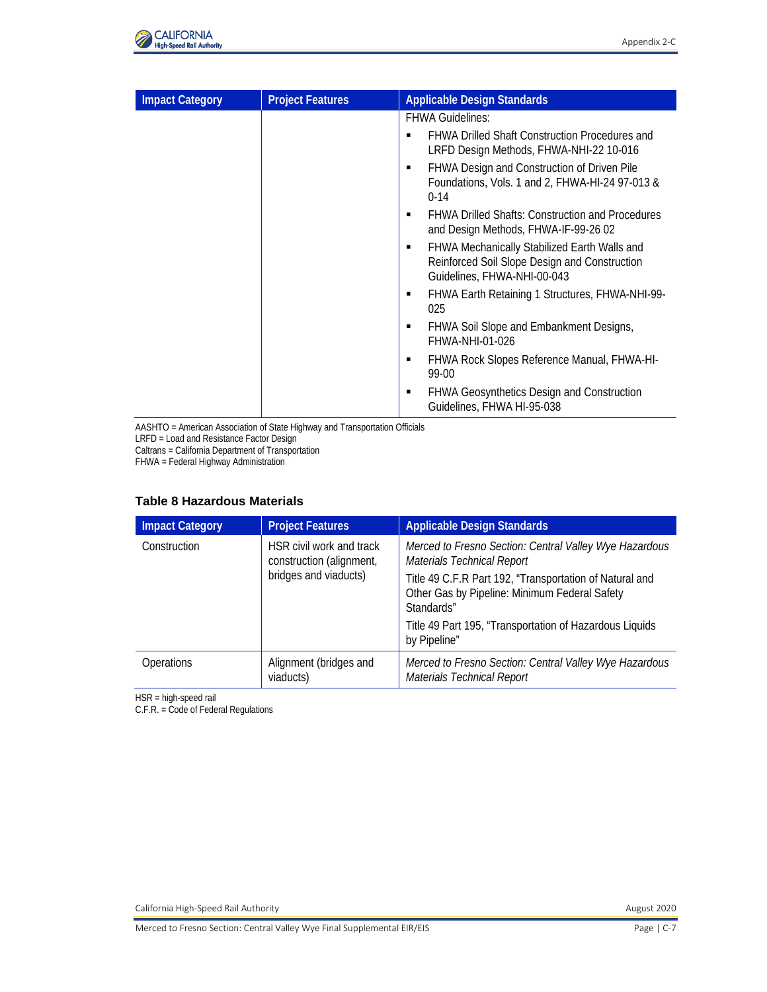

| <b>Impact Category</b> | <b>Project Features</b> | <b>Applicable Design Standards</b>                                                                                           |
|------------------------|-------------------------|------------------------------------------------------------------------------------------------------------------------------|
|                        |                         | <b>FHWA Guidelines:</b>                                                                                                      |
|                        |                         | <b>FHWA Drilled Shaft Construction Procedures and</b><br>п<br>LRFD Design Methods, FHWA-NHI-22 10-016                        |
|                        |                         | FHWA Design and Construction of Driven Pile<br>Foundations, Vols. 1 and 2, FHWA-HI-24 97-013 &<br>$0-14$                     |
|                        |                         | <b>FHWA Drilled Shafts: Construction and Procedures</b><br>and Design Methods, FHWA-IF-99-26 02                              |
|                        |                         | FHWA Mechanically Stabilized Earth Walls and<br>Reinforced Soil Slope Design and Construction<br>Guidelines, FHWA-NHI-00-043 |
|                        |                         | FHWA Earth Retaining 1 Structures, FHWA-NHI-99-<br>025                                                                       |
|                        |                         | FHWA Soil Slope and Embankment Designs,<br>FHWA-NHI-01-026                                                                   |
|                        |                         | FHWA Rock Slopes Reference Manual, FHWA-HI-<br>99-00                                                                         |
|                        |                         | <b>FHWA Geosynthetics Design and Construction</b><br>Guidelines, FHWA HI-95-038                                              |

AASHTO = American Association of State Highway and Transportation Officials LRFD = Load and Resistance Factor Design

Caltrans = California Department of Transportation

FHWA = Federal Highway Administration

#### **Table 8 Hazardous Materials**

| <b>Impact Category</b> | <b>Project Features</b>                                                       | <b>Applicable Design Standards</b>                                                                                     |
|------------------------|-------------------------------------------------------------------------------|------------------------------------------------------------------------------------------------------------------------|
| Construction           | HSR civil work and track<br>construction (alignment,<br>bridges and viaducts) | Merced to Fresno Section: Central Valley Wye Hazardous<br><b>Materials Technical Report</b>                            |
|                        |                                                                               | Title 49 C.F.R Part 192, "Transportation of Natural and<br>Other Gas by Pipeline: Minimum Federal Safety<br>Standards" |
|                        |                                                                               | Title 49 Part 195, "Transportation of Hazardous Liquids<br>by Pipeline"                                                |
| <b>Operations</b>      | Alignment (bridges and<br>viaducts)                                           | Merced to Fresno Section: Central Valley Wye Hazardous<br><b>Materials Technical Report</b>                            |

HSR = high-speed rail

C.F.R. = Code of Federal Regulations